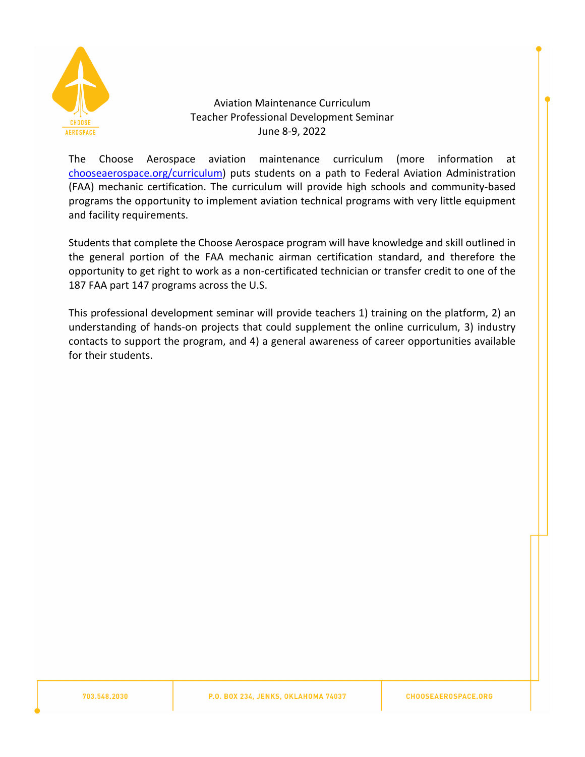

# Aviation Maintenance Curriculum Teacher Professional Development Seminar June 8-9, 2022

The Choose Aerospace aviation maintenance curriculum (more information at [chooseaerospace.org/curriculum](https://www.chooseaerospace.org/curriculum.html)) puts students on a path to Federal Aviation Administration (FAA) mechanic certification. The curriculum will provide high schools and community-based programs the opportunity to implement aviation technical programs with very little equipment and facility requirements.

Students that complete the Choose Aerospace program will have knowledge and skill outlined in the general portion of the FAA mechanic airman certification standard, and therefore the opportunity to get right to work as a non-certificated technician or transfer credit to one of the 187 FAA part 147 programs across the U.S.

This professional development seminar will provide teachers 1) training on the platform, 2) an understanding of hands-on projects that could supplement the online curriculum, 3) industry contacts to support the program, and 4) a general awareness of career opportunities available for their students.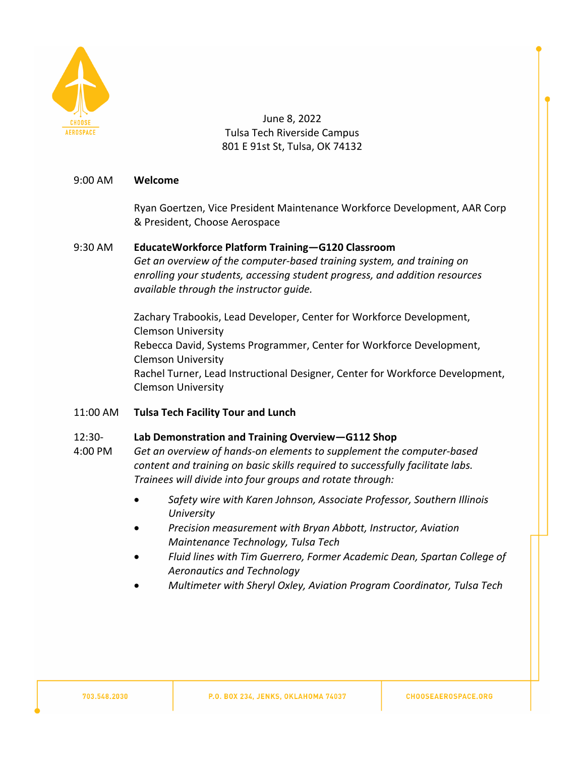

June 8, 2022 Tulsa Tech Riverside Campus 801 E 91st St, Tulsa, OK 74132

## 9:00 AM **Welcome**

Ryan Goertzen, Vice President Maintenance Workforce Development, AAR Corp & President, Choose Aerospace

## 9:30 AM **EducateWorkforce Platform Training—G120 Classroom**

*Get an overview of the computer-based training system, and training on enrolling your students, accessing student progress, and addition resources available through the instructor guide.*

Zachary Trabookis, Lead Developer, Center for Workforce Development, Clemson University Rebecca David, Systems Programmer, Center for Workforce Development, Clemson University Rachel Turner, Lead Instructional Designer, Center for Workforce Development, Clemson University

11:00 AM **Tulsa Tech Facility Tour and Lunch**

#### 12:30- **Lab Demonstration and Training Overview—G112 Shop**

- 4:00 PM *Get an overview of hands-on elements to supplement the computer-based content and training on basic skills required to successfully facilitate labs. Trainees will divide into four groups and rotate through:*
	- *Safety wire with Karen Johnson, Associate Professor, Southern Illinois University*
	- *Precision measurement with Bryan Abbott, Instructor, Aviation Maintenance Technology, Tulsa Tech*
	- *Fluid lines with Tim Guerrero, Former Academic Dean, Spartan College of Aeronautics and Technology*
	- *Multimeter with Sheryl Oxley, Aviation Program Coordinator, Tulsa Tech*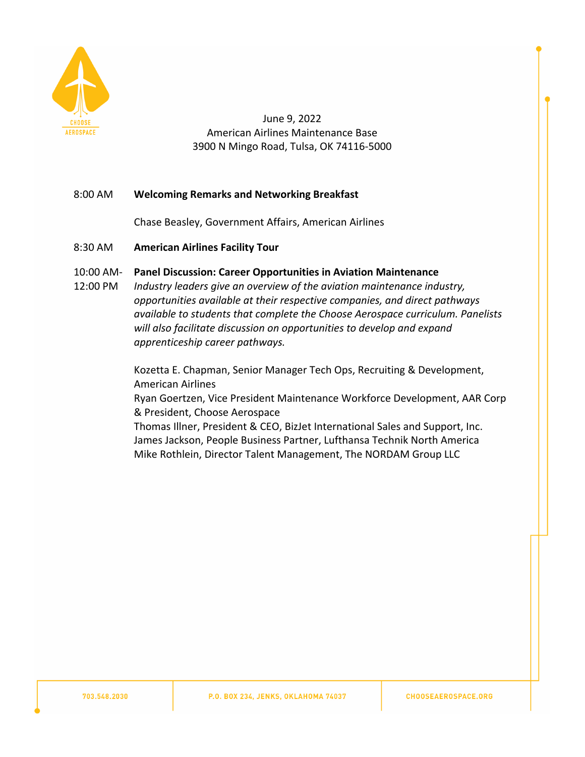

June 9, 2022 American Airlines Maintenance Base 3900 N Mingo Road, Tulsa, OK 74116-5000

## 8:00 AM **Welcoming Remarks and Networking Breakfast**

Chase Beasley, Government Affairs, American Airlines

- 8:30 AM **American Airlines Facility Tour**
- 10:00 AM-**Panel Discussion: Career Opportunities in Aviation Maintenance**
- 12:00 PM *Industry leaders give an overview of the aviation maintenance industry, opportunities available at their respective companies, and direct pathways available to students that complete the Choose Aerospace curriculum. Panelists will also facilitate discussion on opportunities to develop and expand apprenticeship career pathways.*

Kozetta E. Chapman, Senior Manager Tech Ops, Recruiting & Development, American Airlines

Ryan Goertzen, Vice President Maintenance Workforce Development, AAR Corp & President, Choose Aerospace

Thomas Illner, President & CEO, BizJet International Sales and Support, Inc. James Jackson, People Business Partner, Lufthansa Technik North America Mike Rothlein, Director Talent Management, The NORDAM Group LLC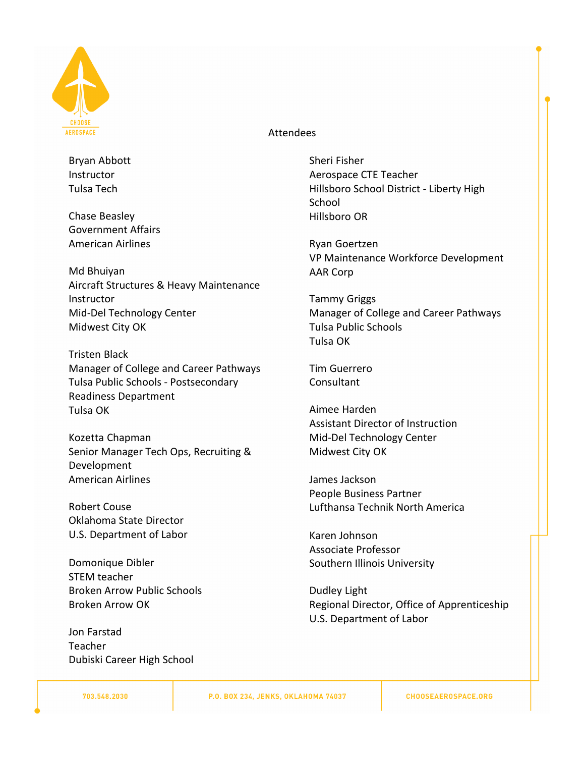

### Attendees

Bryan Abbott **Instructor** Tulsa Tech

Chase Beasley Government Affairs American Airlines

Md Bhuiyan Aircraft Structures & Heavy Maintenance Instructor Mid-Del Technology Center Midwest City OK

Tristen Black Manager of College and Career Pathways Tulsa Public Schools - Postsecondary Readiness Department Tulsa OK

Kozetta Chapman Senior Manager Tech Ops, Recruiting & Development American Airlines

Robert Couse Oklahoma State Director U.S. Department of Labor

Domonique Dibler STEM teacher Broken Arrow Public Schools Broken Arrow OK

Jon Farstad Teacher Dubiski Career High School Sheri Fisher Aerospace CTE Teacher Hillsboro School District - Liberty High School Hillsboro OR

Ryan Goertzen VP Maintenance Workforce Development AAR Corp

Tammy Griggs Manager of College and Career Pathways Tulsa Public Schools Tulsa OK

Tim Guerrero Consultant

Aimee Harden Assistant Director of Instruction Mid-Del Technology Center Midwest City OK

James Jackson People Business Partner Lufthansa Technik North America

Karen Johnson Associate Professor Southern Illinois University

Dudley Light Regional Director, Office of Apprenticeship U.S. Department of Labor